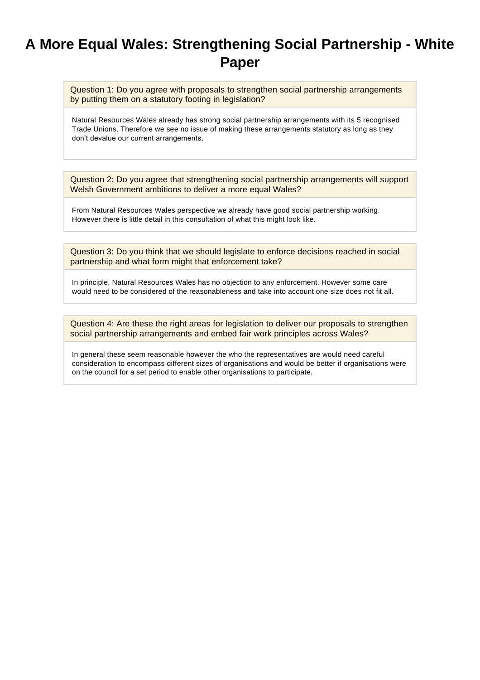## **A More Equal Wales: Strengthening Social Partnership - White Paper**

Question 1: Do you agree with proposals to strengthen social partnership arrangements by putting them on a statutory footing in legislation?

Natural Resources Wales already has strong social partnership arrangements with its 5 recognised Trade Unions. Therefore we see no issue of making these arrangements statutory as long as they don't devalue our current arrangements.

Question 2: Do you agree that strengthening social partnership arrangements will support Welsh Government ambitions to deliver a more equal Wales?

From Natural Resources Wales perspective we already have good social partnership working. However there is little detail in this consultation of what this might look like.

Question 3: Do you think that we should legislate to enforce decisions reached in social partnership and what form might that enforcement take?

In principle, Natural Resources Wales has no objection to any enforcement. However some care would need to be considered of the reasonableness and take into account one size does not fit all.

Question 4: Are these the right areas for legislation to deliver our proposals to strengthen social partnership arrangements and embed fair work principles across Wales?

In general these seem reasonable however the who the representatives are would need careful consideration to encompass different sizes of organisations and would be better if organisations were on the council for a set period to enable other organisations to participate.